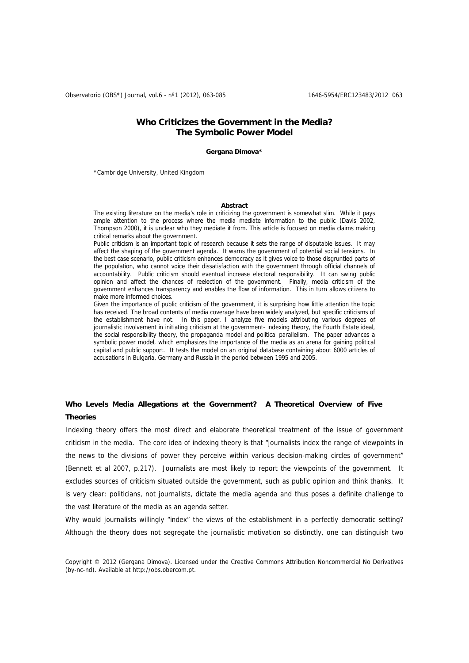Observatorio (OBS\*) Journal, vol.6 - nº1 (2012), 063-085 1646-5954/ERC123483/2012 063

# **Who Criticizes the Government in the Media? The Symbolic Power Model**

#### **Gergana Dimova\***

\*Cambridge University, United Kingdom

#### **Abstract**

The existing literature on the media's role in criticizing the government is somewhat slim. While it pays ample attention to the process where the media mediate information to the public (Davis 2002, Thompson 2000), it is unclear who they mediate it from. This article is focused on media claims making critical remarks about the government.

Public criticism is an important topic of research because it sets the range of disputable issues. It may affect the shaping of the government agenda. It warns the government of potential social tensions. In the best case scenario, public criticism enhances democracy as it gives voice to those disgruntled parts of the population, who cannot voice their dissatisfaction with the government through official channels of accountability. Public criticism should eventual increase electoral responsibility. It can swing public opinion and affect the chances of reelection of the government. Finally, media criticism of the government enhances transparency and enables the flow of information. This in turn allows citizens to make more informed choices.

Given the importance of public criticism of the government, it is surprising how little attention the topic has received. The broad contents of media coverage have been widely analyzed, but specific criticisms of the establishment have not. In this paper, I analyze five models attributing various degrees of journalistic involvement in initiating criticism at the government- indexing theory, the Fourth Estate ideal, the social responsibility theory, the propaganda model and political parallelism. The paper advances a symbolic power model, which emphasizes the importance of the media as an arena for gaining political capital and public support. It tests the model on an original database containing about 6000 articles of accusations in Bulgaria, Germany and Russia in the period between 1995 and 2005.

# **Who Levels Media Allegations at the Government? A Theoretical Overview of Five Theories**

Indexing theory offers the most direct and elaborate theoretical treatment of the issue of government criticism in the media. The core idea of indexing theory is that "journalists index the range of viewpoints in the news to the divisions of power they perceive within various decision-making circles of government" (Bennett et al 2007, p.217). Journalists are most likely to report the viewpoints of the government. It excludes sources of criticism situated outside the government, such as public opinion and think thanks. It is very clear: politicians, not journalists, dictate the media agenda and thus poses a definite challenge to the vast literature of the media as an agenda setter.

Why would journalists willingly "index" the views of the establishment in a perfectly democratic setting? Although the theory does not segregate the journalistic motivation so distinctly, one can distinguish two

Copyright © 2012 (Gergana Dimova). Licensed under the Creative Commons Attribution Noncommercial No Derivatives (by-nc-nd). Available at http://obs.obercom.pt.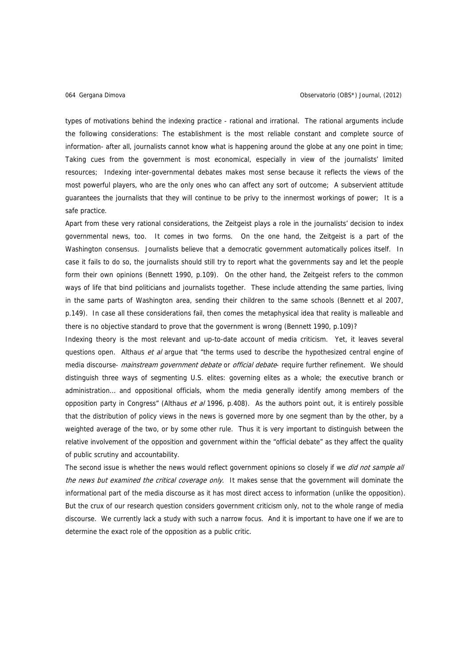types of motivations behind the indexing practice - rational and irrational. The rational arguments include the following considerations: The establishment is the most reliable constant and complete source of information- after all, journalists cannot know what is happening around the globe at any one point in time; Taking cues from the government is most economical, especially in view of the journalists' limited resources; Indexing inter-governmental debates makes most sense because it reflects the views of the most powerful players, who are the only ones who can affect any sort of outcome; A subservient attitude guarantees the journalists that they will continue to be privy to the innermost workings of power; It is a safe practice.

Apart from these very rational considerations, the Zeitgeist plays a role in the journalists' decision to index governmental news, too. It comes in two forms. On the one hand, the Zeitgeist is a part of the Washington consensus. Journalists believe that a democratic government automatically polices itself. In case it fails to do so, the journalists should still try to report what the governments say and let the people form their own opinions (Bennett 1990, p.109). On the other hand, the Zeitgeist refers to the common ways of life that bind politicians and journalists together. These include attending the same parties, living in the same parts of Washington area, sending their children to the same schools (Bennett et al 2007, p.149). In case all these considerations fail, then comes the metaphysical idea that reality is malleable and there is no objective standard to prove that the government is wrong (Bennett 1990, p.109)?

Indexing theory is the most relevant and up-to-date account of media criticism. Yet, it leaves several questions open. Althaus et al argue that "the terms used to describe the hypothesized central engine of media discourse- mainstream government debate or official debate- require further refinement. We should distinguish three ways of segmenting U.S. elites: governing elites as a whole; the executive branch or administration… and oppositional officials, whom the media generally identify among members of the opposition party in Congress" (Althaus et al 1996, p.408). As the authors point out, it is entirely possible that the distribution of policy views in the news is governed more by one segment than by the other, by a weighted average of the two, or by some other rule. Thus it is very important to distinguish between the relative involvement of the opposition and government within the "official debate" as they affect the quality of public scrutiny and accountability.

The second issue is whether the news would reflect government opinions so closely if we did not sample all the news but examined the critical coverage only. It makes sense that the government will dominate the informational part of the media discourse as it has most direct access to information (unlike the opposition). But the crux of our research question considers government criticism only, not to the whole range of media discourse. We currently lack a study with such a narrow focus. And it is important to have one if we are to determine the exact role of the opposition as a public critic.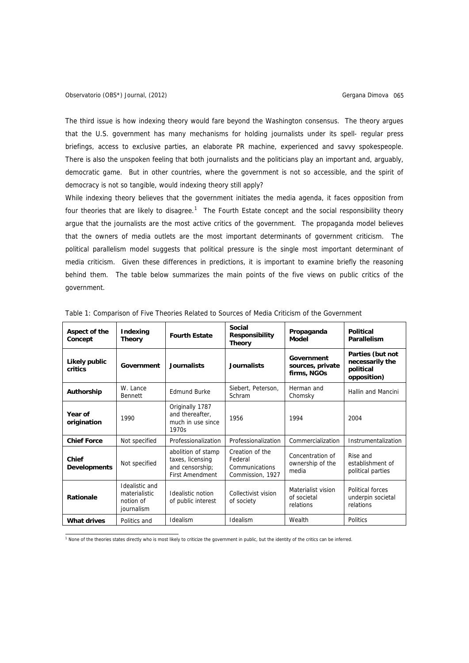The third issue is how indexing theory would fare beyond the Washington consensus. The theory argues that the U.S. government has many mechanisms for holding journalists under its spell- regular press briefings, access to exclusive parties, an elaborate PR machine, experienced and savvy spokespeople. There is also the unspoken feeling that both journalists and the politicians play an important and, arguably, democratic game. But in other countries, where the government is not so accessible, and the spirit of democracy is not so tangible, would indexing theory still apply?

While indexing theory believes that the government initiates the media agenda, it faces opposition from four theories that are likely to disagree.<sup>[1](#page-2-0)</sup> The Fourth Estate concept and the social responsibility theory argue that the journalists are the most active critics of the government. The propaganda model believes that the owners of media outlets are the most important determinants of government criticism. The political parallelism model suggests that political pressure is the single most important determinant of media criticism. Given these differences in predictions, it is important to examine briefly the reasoning behind them. The table below summarizes the main points of the five views on public critics of the government.

| Aspect of the<br>Concept     | Indexing<br><b>Theory</b>                                  | <b>Fourth Estate</b>                                                                | Social<br><b>Responsibility</b><br><b>Theory</b>                 | Propaganda<br>Model                            | <b>Political</b><br>Parallelism                                 |  |
|------------------------------|------------------------------------------------------------|-------------------------------------------------------------------------------------|------------------------------------------------------------------|------------------------------------------------|-----------------------------------------------------------------|--|
| Likely public<br>critics     | Government                                                 | Journalists                                                                         | Journalists                                                      | Government<br>sources, private<br>firms, NGOs  | Parties (but not<br>necessarily the<br>political<br>opposition) |  |
| Authorship                   | W. Lance<br>Bennett                                        | <b>Edmund Burke</b>                                                                 | Siebert, Peterson,<br>Schram                                     | Herman and<br>Chomsky                          | Hallin and Mancini                                              |  |
| Year of<br>origination       | 1990                                                       | Originally 1787<br>and thereafter,<br>much in use since<br>1970s                    | 1956                                                             | 1994                                           | 2004                                                            |  |
| <b>Chief Force</b>           | Not specified                                              | Professionalization                                                                 | Professionalization                                              | Commercialization                              | Instrumentalization                                             |  |
| Chief<br><b>Developments</b> | Not specified                                              | abolition of stamp<br>taxes, licensing<br>and censorship;<br><b>First Amendment</b> | Creation of the<br>Federal<br>Communications<br>Commission, 1927 | Concentration of<br>ownership of the<br>media  | Rise and<br>establishment of<br>political parties               |  |
| <b>Rationale</b>             | Idealistic and<br>materialistic<br>notion of<br>journalism | Idealistic notion<br>of public interest                                             | Collectivist vision<br>of society                                | Materialist vision<br>of societal<br>relations | Political forces<br>underpin societal<br>relations              |  |
| <b>What drives</b>           | Politics and                                               | Idealism                                                                            | Idealism                                                         | Wealth                                         | Politics                                                        |  |

Table 1: Comparison of Five Theories Related to Sources of Media Criticism of the Government

<span id="page-2-0"></span>1 None of the theories states directly who is most likely to criticize the government in public, but the identity of the critics can be inferred.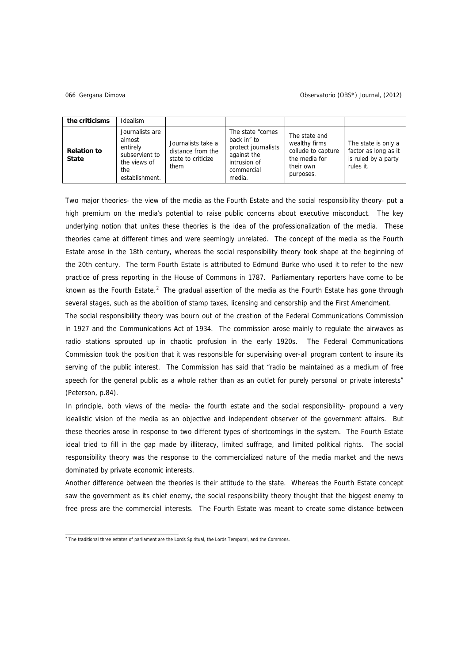#### Gergana Dimova 066 Observatorio (OBS\*) Journal, (2012)

| the criticisms                     | Idealism                                                                                         |                                                                       |                                                                                                                |                                                                                                 |                                                                                 |
|------------------------------------|--------------------------------------------------------------------------------------------------|-----------------------------------------------------------------------|----------------------------------------------------------------------------------------------------------------|-------------------------------------------------------------------------------------------------|---------------------------------------------------------------------------------|
| <b>Relation to</b><br><b>State</b> | Journalists are<br>almost<br>entirely<br>subservient to<br>the views of<br>the<br>establishment. | Journalists take a<br>distance from the<br>state to criticize<br>them | The state "comes"<br>back in" to<br>protect journalists<br>against the<br>intrusion of<br>commercial<br>media. | The state and<br>wealthy firms<br>collude to capture<br>the media for<br>their own<br>purposes. | The state is only a<br>factor as long as it<br>is ruled by a party<br>rules it. |

Two major theories- the view of the media as the Fourth Estate and the social responsibility theory- put a high premium on the media's potential to raise public concerns about executive misconduct. The key underlying notion that unites these theories is the idea of the professionalization of the media. These theories came at different times and were seemingly unrelated. The concept of the media as the Fourth Estate arose in the 18th century, whereas the social responsibility theory took shape at the beginning of the 20th century. The term Fourth Estate is attributed to Edmund Burke who used it to refer to the new practice of press reporting in the House of Commons in 1787. Parliamentary reporters have come to be known as the Fourth Estate.<sup>[2](#page-3-0)</sup> The gradual assertion of the media as the Fourth Estate has gone through several stages, such as the abolition of stamp taxes, licensing and censorship and the First Amendment.

The social responsibility theory was bourn out of the creation of the Federal Communications Commission in 1927 and the Communications Act of 1934. The commission arose mainly to regulate the airwaves as radio stations sprouted up in chaotic profusion in the early 1920s. The Federal Communications Commission took the position that it was responsible for supervising over-all program content to insure its serving of the public interest. The Commission has said that "radio be maintained as a medium of free speech for the general public as a whole rather than as an outlet for purely personal or private interests" (Peterson, p.84).

In principle, both views of the media- the fourth estate and the social responsibility- propound a very idealistic vision of the media as an objective and independent observer of the government affairs. But these theories arose in response to two different types of shortcomings in the system. The Fourth Estate ideal tried to fill in the gap made by illiteracy, limited suffrage, and limited political rights. The social responsibility theory was the response to the commercialized nature of the media market and the news dominated by private economic interests.

Another difference between the theories is their attitude to the state. Whereas the Fourth Estate concept saw the government as its chief enemy, the social responsibility theory thought that the biggest enemy to free press are the commercial interests. The Fourth Estate was meant to create some distance between

<span id="page-3-0"></span> 2 The traditional three estates of parliament are the Lords Spiritual, the Lords Temporal, and the Commons.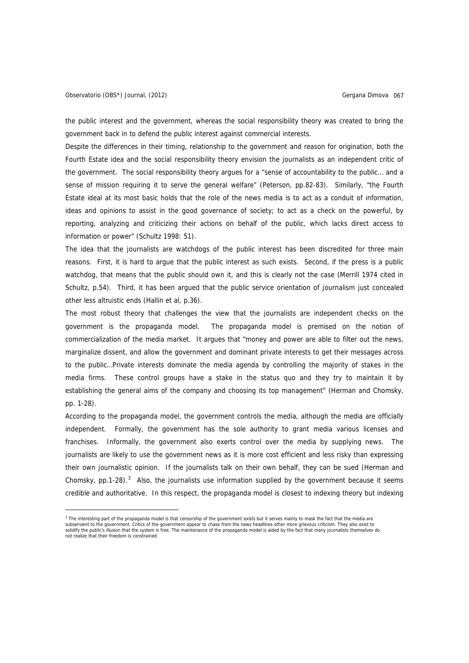i,

the public interest and the government, whereas the social responsibility theory was created to bring the government back in to defend the public interest against commercial interests.

Despite the differences in their timing, relationship to the government and reason for origination, both the Fourth Estate idea and the social responsibility theory envision the journalists as an independent critic of the government. The social responsibility theory argues for a "sense of accountability to the public… and a sense of mission requiring it to serve the general welfare" (Peterson, pp.82-83). Similarly, "the Fourth Estate ideal at its most basic holds that the role of the news media is to act as a conduit of information, ideas and opinions to assist in the good governance of society; to act as a check on the powerful, by reporting, analyzing and criticizing their actions on behalf of the public, which lacks direct access to information or power" (Schultz 1998: 51).

The idea that the journalists are watchdogs of the public interest has been discredited for three main reasons. First, it is hard to argue that the public interest as such exists. Second, if the press is a public watchdog, that means that the public should own it, and this is clearly not the case (Merrill 1974 cited in Schultz, p.54). Third, it has been argued that the public service orientation of journalism just concealed other less altruistic ends (Hallin et al, p.36).

The most robust theory that challenges the view that the journalists are independent checks on the government is the propaganda model. The propaganda model is premised on the notion of commercialization of the media market. It argues that "money and power are able to filter out the news, marginalize dissent, and allow the government and dominant private interests to get their messages across to the public…Private interests dominate the media agenda by controlling the majority of stakes in the media firms. These control groups have a stake in the status quo and they try to maintain it by establishing the general aims of the company and choosing its top management" (Herman and Chomsky, pp. 1-28).

According to the propaganda model, the government controls the media, although the media are officially independent. Formally, the government has the sole authority to grant media various licenses and franchises. Informally, the government also exerts control over the media by supplying news. journalists are likely to use the government news as it is more cost efficient and less risky than expressing their own journalistic opinion. If the journalists talk on their own behalf, they can be sued (Herman and Chomsky,  $pp.1-28$ ).<sup>[3](#page-4-0)</sup> Also, the journalists use information supplied by the government because it seems credible and authoritative. In this respect, the propaganda model is closest to indexing theory but indexing

<span id="page-4-0"></span><sup>&</sup>lt;sup>3</sup> The interesting part of the propaganda model is that censorship of the government exists but it serves mainly to mask the fact that the media are<br>subservient to the government. Critics of the government appear to chase solidify the public's illusion that the system is free. The maintenance of the propaganda model is aided by the fact that many journalists themselves do not realize that their freedom is constrained.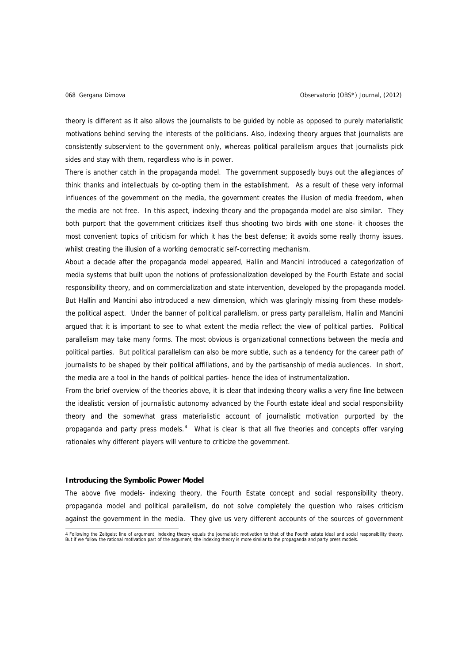theory is different as it also allows the journalists to be guided by noble as opposed to purely materialistic motivations behind serving the interests of the politicians. Also, indexing theory argues that journalists are consistently subservient to the government only, whereas political parallelism argues that journalists pick sides and stay with them, regardless who is in power.

There is another catch in the propaganda model. The government supposedly buys out the allegiances of think thanks and intellectuals by co-opting them in the establishment. As a result of these very informal influences of the government on the media, the government creates the illusion of media freedom, when the media are not free. In this aspect, indexing theory and the propaganda model are also similar. They both purport that the government criticizes itself thus shooting two birds with one stone- it chooses the most convenient topics of criticism for which it has the best defense; it avoids some really thorny issues, whilst creating the illusion of a working democratic self-correcting mechanism.

About a decade after the propaganda model appeared, Hallin and Mancini introduced a categorization of media systems that built upon the notions of professionalization developed by the Fourth Estate and social responsibility theory, and on commercialization and state intervention, developed by the propaganda model. But Hallin and Mancini also introduced a new dimension, which was glaringly missing from these modelsthe political aspect. Under the banner of political parallelism, or press party parallelism, Hallin and Mancini argued that it is important to see to what extent the media reflect the view of political parties. Political parallelism may take many forms. The most obvious is organizational connections between the media and political parties. But political parallelism can also be more subtle, such as a tendency for the career path of journalists to be shaped by their political affiliations, and by the partisanship of media audiences. In short, the media are a tool in the hands of political parties- hence the idea of instrumentalization.

From the brief overview of the theories above, it is clear that indexing theory walks a very fine line between the idealistic version of journalistic autonomy advanced by the Fourth estate ideal and social responsibility theory and the somewhat grass materialistic account of journalistic motivation purported by the propaganda and party press models.<sup>[4](#page-5-0)</sup> What is clear is that all five theories and concepts offer varying rationales why different players will venture to criticize the government.

# **Introducing the Symbolic Power Model**

The above five models- indexing theory, the Fourth Estate concept and social responsibility theory, propaganda model and political parallelism, do not solve completely the question who raises criticism against the government in the media. They give us very different accounts of the sources of government

<span id="page-5-0"></span> 4 Following the Zeitgeist line of argument, indexing theory equals the journalistic motivation to that of the Fourth estate ideal and social responsibility theory. But if we follow the rational motivation part of the argument, the indexing theory is more similar to the propaganda and party press models.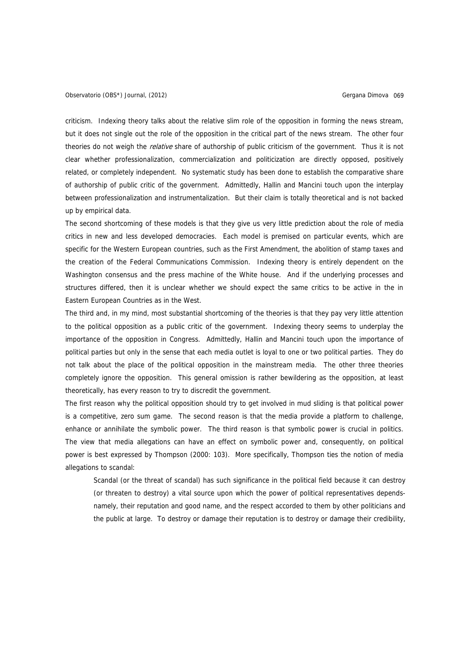criticism. Indexing theory talks about the relative slim role of the opposition in forming the news stream, but it does not single out the role of the opposition in the critical part of the news stream. The other four theories do not weigh the *relative* share of authorship of public criticism of the government. Thus it is not clear whether professionalization, commercialization and politicization are directly opposed, positively related, or completely independent. No systematic study has been done to establish the comparative share of authorship of public critic of the government. Admittedly, Hallin and Mancini touch upon the interplay between professionalization and instrumentalization. But their claim is totally theoretical and is not backed up by empirical data.

The second shortcoming of these models is that they give us very little prediction about the role of media critics in new and less developed democracies. Each model is premised on particular events, which are specific for the Western European countries, such as the First Amendment, the abolition of stamp taxes and the creation of the Federal Communications Commission. Indexing theory is entirely dependent on the Washington consensus and the press machine of the White house. And if the underlying processes and structures differed, then it is unclear whether we should expect the same critics to be active in the in Eastern European Countries as in the West.

The third and, in my mind, most substantial shortcoming of the theories is that they pay very little attention to the political opposition as a public critic of the government. Indexing theory seems to underplay the importance of the opposition in Congress. Admittedly, Hallin and Mancini touch upon the importance of political parties but only in the sense that each media outlet is loyal to one or two political parties. They do not talk about the place of the political opposition in the mainstream media. The other three theories completely ignore the opposition. This general omission is rather bewildering as the opposition, at least theoretically, has every reason to try to discredit the government.

The first reason why the political opposition should try to get involved in mud sliding is that political power is a competitive, zero sum game. The second reason is that the media provide a platform to challenge, enhance or annihilate the symbolic power. The third reason is that symbolic power is crucial in politics. The view that media allegations can have an effect on symbolic power and, consequently, on political power is best expressed by Thompson (2000: 103). More specifically, Thompson ties the notion of media allegations to scandal:

Scandal (or the threat of scandal) has such significance in the political field because it can destroy (or threaten to destroy) a vital source upon which the power of political representatives dependsnamely, their reputation and good name, and the respect accorded to them by other politicians and the public at large. To destroy or damage their reputation is to destroy or damage their credibility,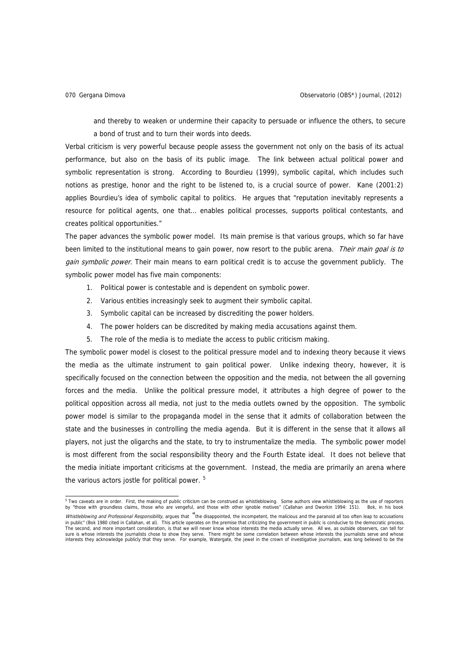and thereby to weaken or undermine their capacity to persuade or influence the others, to secure a bond of trust and to turn their words into deeds.

Verbal criticism is very powerful because people assess the government not only on the basis of its actual performance, but also on the basis of its public image. The link between actual political power and symbolic representation is strong. According to Bourdieu (1999), symbolic capital, which includes such notions as prestige, honor and the right to be listened to, is a crucial source of power. Kane (2001:2) applies Bourdieu's idea of symbolic capital to politics. He argues that "reputation inevitably represents a resource for political agents, one that… enables political processes, supports political contestants, and creates political opportunities."

The paper advances the symbolic power model. Its main premise is that various groups, which so far have been limited to the institutional means to gain power, now resort to the public arena. Their main goal is to gain symbolic power. Their main means to earn political credit is to accuse the government publicly. The symbolic power model has five main components:

- 1. Political power is contestable and is dependent on symbolic power.
- 2. Various entities increasingly seek to augment their symbolic capital.
- 3. Symbolic capital can be increased by discrediting the power holders.
- 4. The power holders can be discredited by making media accusations against them.
- 5. The role of the media is to mediate the access to public criticism making.

The symbolic power model is closest to the political pressure model and to indexing theory because it views the media as the ultimate instrument to gain political power. Unlike indexing theory, however, it is specifically focused on the connection between the opposition and the media, not between the all governing forces and the media. Unlike the political pressure model, it attributes a high degree of power to the political opposition across all media, not just to the media outlets owned by the opposition. The symbolic power model is similar to the propaganda model in the sense that it admits of collaboration between the state and the businesses in controlling the media agenda. But it is different in the sense that it allows all players, not just the oligarchs and the state, to try to instrumentalize the media. The symbolic power model is most different from the social responsibility theory and the Fourth Estate ideal. It does not believe that the media initiate important criticisms at the government. Instead, the media are primarily an arena where the various actors jostle for political power.<sup>[5](#page-7-0)</sup>

<span id="page-7-0"></span><sup>&</sup>lt;sub>5</sub><br>Wo caveats are in order. First, the making of public criticism can be construed as whistleblowing. Some authors view whistleblowing as the use of reporters updenting as the use of reporters in the conters and boucking

Whistleblowing and Professional Responsibility, argues that "the disappointed, the incompetent, the malicious and the paranoid all too often leap to accusations in public" (Bok 1980 cited in Callahan, et al). This article operates on the premise that criticizing the government in public is conducive to the democratic process. The second, and more important consideration, is that we will never know whose interests the media actually serve. All we, as outside observers, can tell for sure is whose interests the journalists chose to show they serve. There might be some correlation between whose interests the journalists serve and whose<br>interests they acknowledge publicly that they serve. For example, Wa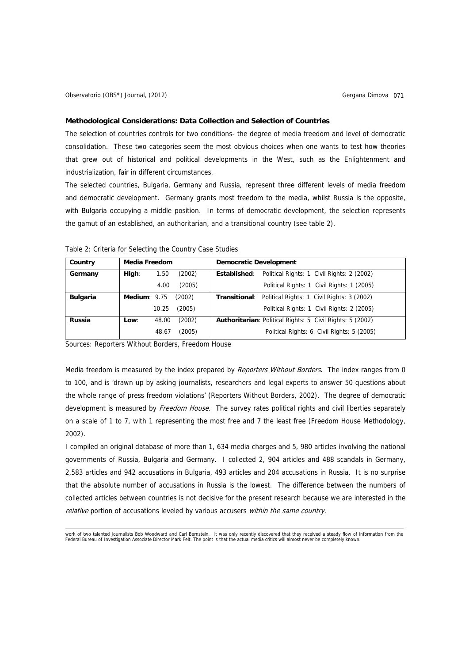#### **Methodological Considerations: Data Collection and Selection of Countries**

The selection of countries controls for two conditions- the degree of media freedom and level of democratic consolidation. These two categories seem the most obvious choices when one wants to test how theories that grew out of historical and political developments in the West, such as the Enlightenment and industrialization, fair in different circumstances.

The selected countries, Bulgaria, Germany and Russia, represent three different levels of media freedom and democratic development. Germany grants most freedom to the media, whilst Russia is the opposite, with Bulgaria occupying a middle position. In terms of democratic development, the selection represents the gamut of an established, an authoritarian, and a transitional country (see table 2).

| Country         | <b>Media Freedom</b> |       |        | <b>Democratic Development</b> |                                                                  |  |  |
|-----------------|----------------------|-------|--------|-------------------------------|------------------------------------------------------------------|--|--|
| Germany         | High:                | 1.50  | (2002) | Established:                  | Political Rights: 1 Civil Rights: 2 (2002)                       |  |  |
|                 |                      | 4.00  | (2005) |                               | Political Rights: 1 Civil Rights: 1 (2005)                       |  |  |
| <b>Bulgaria</b> | Medium: $9.75$       |       | (2002) |                               | <b>Transitional:</b> Political Rights: 1 Civil Rights: 3 (2002)  |  |  |
|                 |                      | 10.25 | (2005) |                               | Political Rights: 1 Civil Rights: 2 (2005)                       |  |  |
| <b>Russia</b>   | Low:                 | 48.00 | (2002) |                               | <b>Authoritarian: Political Rights: 5 Civil Rights: 5 (2002)</b> |  |  |
|                 |                      | 48.67 | (2005) |                               | Political Rights: 6 Civil Rights: 5 (2005)                       |  |  |

Table 2: Criteria for Selecting the Country Case Studies

Sources: Reporters Without Borders, Freedom House

Media freedom is measured by the index prepared by Reporters Without Borders. The index ranges from 0 to 100, and is 'drawn up by asking journalists, researchers and legal experts to answer 50 questions about the whole range of press freedom violations' (Reporters Without Borders, 2002). The degree of democratic development is measured by Freedom House. The survey rates political rights and civil liberties separately on a scale of 1 to 7, with 1 representing the most free and 7 the least free (Freedom House Methodology, 2002).

I compiled an original database of more than 1, 634 media charges and 5, 980 articles involving the national governments of Russia, Bulgaria and Germany. I collected 2, 904 articles and 488 scandals in Germany, 2,583 articles and 942 accusations in Bulgaria, 493 articles and 204 accusations in Russia. It is no surprise that the absolute number of accusations in Russia is the lowest. The difference between the numbers of collected articles between countries is not decisive for the present research because we are interested in the relative portion of accusations leveled by various accusers within the same country.

 work of two talented journalists [Bob Woodward](http://en.wikipedia.org/wiki/Bob_Woodward) and [Carl Bernstein.](http://en.wikipedia.org/wiki/Carl_Bernstein) It was only recently discovered that they received a steady flow of information from the [Federal Bureau of Investigation](http://en.wikipedia.org/wiki/Federal_Bureau_of_Investigation) Associate Director [Mark Felt.](http://en.wikipedia.org/wiki/W._Mark_Felt) The point is that the actual media critics will almost never be completely known.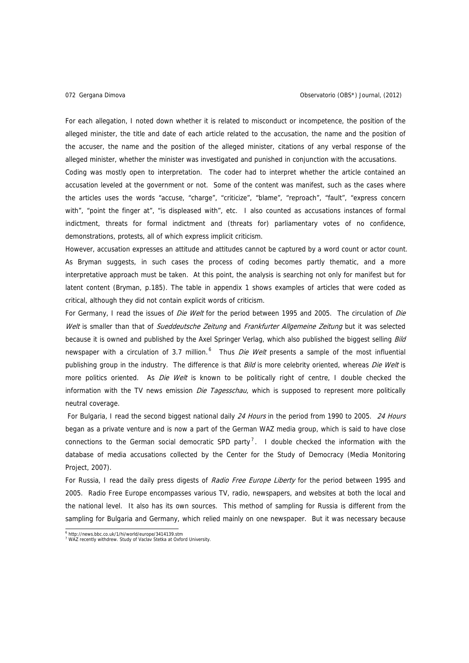For each allegation, I noted down whether it is related to misconduct or incompetence, the position of the alleged minister, the title and date of each article related to the accusation, the name and the position of the accuser, the name and the position of the alleged minister, citations of any verbal response of the alleged minister, whether the minister was investigated and punished in conjunction with the accusations. Coding was mostly open to interpretation. The coder had to interpret whether the article contained an accusation leveled at the government or not. Some of the content was manifest, such as the cases where the articles uses the words "accuse, "charge", "criticize", "blame", "reproach", "fault", "express concern with", "point the finger at", "is displeased with", etc. I also counted as accusations instances of formal indictment, threats for formal indictment and (threats for) parliamentary votes of no confidence, demonstrations, protests, all of which express implicit criticism.

However, accusation expresses an attitude and attitudes cannot be captured by a word count or actor count. As Bryman suggests, in such cases the process of coding becomes partly thematic, and a more interpretative approach must be taken. At this point, the analysis is searching not only for manifest but for latent content (Bryman, p.185). The table in appendix 1 shows examples of articles that were coded as critical, although they did not contain explicit words of criticism.

For Germany, I read the issues of Die Welt for the period between 1995 and 2005. The circulation of Die Welt is smaller than that of [Sueddeutsche Zeitung](http://www.sueddeutsche.de/) and [Frankfurter Allgemeine Zeitung](http://www.faz.de/) but it was selected because it is owned and published by the Axel Springer Verlag, which also published the biggest selling Bild newspaper with a circulation of 3.7 million.  $6$  Thus *Die Welt* presents a sample of the most influential publishing group in the industry. The difference is that Bild is more celebrity oriented, whereas Die Welt is more politics oriented. As *Die Welt* is known to be politically right of centre, I double checked the information with the TV news emission Die Tagesschau, which is supposed to represent more politically neutral coverage.

For Bulgaria, I read the second biggest national daily 24 Hours in the period from 1990 to 2005. 24 Hours began as a private venture and is now a part of the German [WAZ](http://en.wikipedia.org/wiki/WAZ-Mediengruppe) media group, which is said to have close connections to the German social democratic [SPD](http://en.wikipedia.org/wiki/Social_Democratic_Party_of_Germany) party<sup>[7](#page-9-1)</sup>. I double checked the information with the database of media accusations collected by the Center for the Study of Democracy (Media Monitoring Project, 2007).

For Russia, I read the daily press digests of Radio Free Europe Liberty for the period between 1995 and 2005. Radio Free Europe encompasses various TV, radio, newspapers, and websites at both the local and the national level. It also has its own sources. This method of sampling for Russia is different from the sampling for Bulgaria and Germany, which relied mainly on one newspaper. But it was necessary because

 6

<span id="page-9-1"></span><span id="page-9-0"></span><sup>&</sup>lt;sup>6</sup> http://news.bbc.co.uk/1/hi/world/europe/3414139.stm<br><sup>7</sup> WAZ recently withdrew. Study of Vaclav Stetka at Oxford University.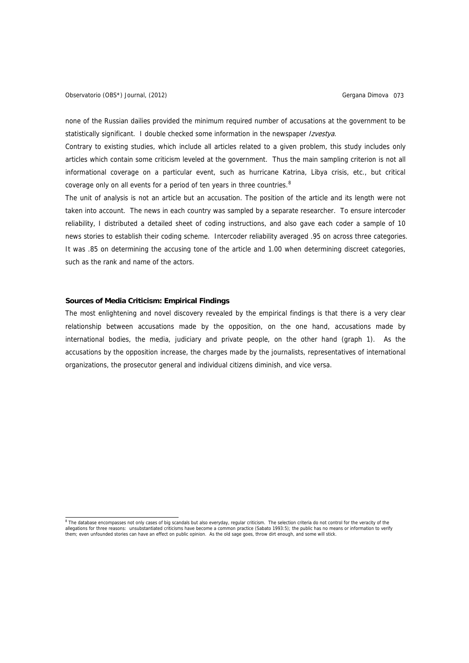none of the Russian dailies provided the minimum required number of accusations at the government to be statistically significant. I double checked some information in the newspaper Izvestya.

Contrary to existing studies, which include all articles related to a given problem, this study includes only articles which contain some criticism leveled at the government. Thus the main sampling criterion is not all informational coverage on a particular event, such as hurricane Katrina, Libya crisis, etc., but critical coverage only on all events for a period of ten years in three countries.<sup>[8](#page-10-0)</sup>

The unit of analysis is not an article but an accusation. The position of the article and its length were not taken into account. The news in each country was sampled by a separate researcher. To ensure intercoder reliability, I distributed a detailed sheet of coding instructions, and also gave each coder a sample of 10 news stories to establish their coding scheme. Intercoder reliability averaged .95 on across three categories. It was .85 on determining the accusing tone of the article and 1.00 when determining discreet categories, such as the rank and name of the actors.

# **Sources of Media Criticism: Empirical Findings**

The most enlightening and novel discovery revealed by the empirical findings is that there is a very clear relationship between accusations made by the opposition, on the one hand, accusations made by international bodies, the media, judiciary and private people, on the other hand (graph 1). As the accusations by the opposition increase, the charges made by the journalists, representatives of international organizations, the prosecutor general and individual citizens diminish, and vice versa.

<span id="page-10-0"></span><sup>&</sup>lt;sup>8</sup> The database encompasses not only cases of big scandals but also everyday, regular criticism. The selection criteria do not control for the veracity of the allegations for three reasons: unsubstantiated criticisms have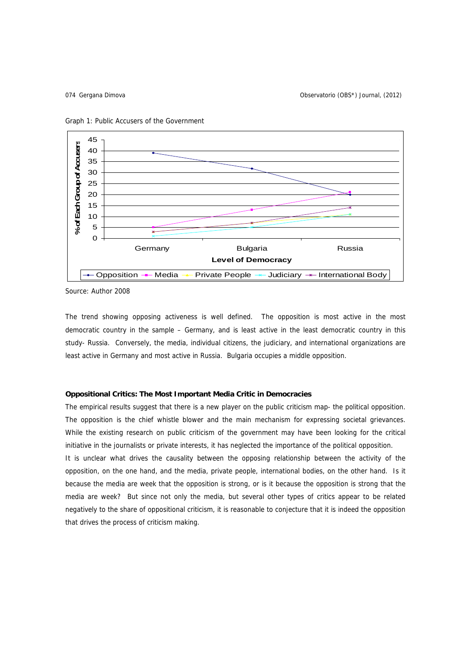Gergana Dimova 074 Observatorio (OBS\*) Journal, (2012)





Source: Author 2008

The trend showing opposing activeness is well defined. The opposition is most active in the most democratic country in the sample – Germany, and is least active in the least democratic country in this study- Russia. Conversely, the media, individual citizens, the judiciary, and international organizations are least active in Germany and most active in Russia. Bulgaria occupies a middle opposition.

# **Oppositional Critics: The Most Important Media Critic in Democracies**

The empirical results suggest that there is a new player on the public criticism map- the political opposition. The opposition is the chief whistle blower and the main mechanism for expressing societal grievances. While the existing research on public criticism of the government may have been looking for the critical initiative in the journalists or private interests, it has neglected the importance of the political opposition. It is unclear what drives the causality between the opposing relationship between the activity of the opposition, on the one hand, and the media, private people, international bodies, on the other hand. Is it because the media are week that the opposition is strong, or is it because the opposition is strong that the media are week? But since not only the media, but several other types of critics appear to be related negatively to the share of oppositional criticism, it is reasonable to conjecture that it is indeed the opposition that drives the process of criticism making.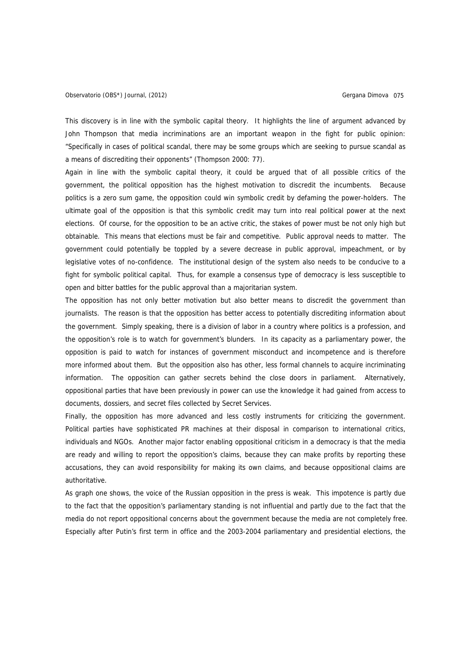This discovery is in line with the symbolic capital theory. It highlights the line of argument advanced by John Thompson that media incriminations are an important weapon in the fight for public opinion: "Specifically in cases of political scandal, there may be some groups which are seeking to pursue scandal as a means of discrediting their opponents" (Thompson 2000: 77).

Again in line with the symbolic capital theory, it could be argued that of all possible critics of the government, the political opposition has the highest motivation to discredit the incumbents. Because politics is a zero sum game, the opposition could win symbolic credit by defaming the power-holders. The ultimate goal of the opposition is that this symbolic credit may turn into real political power at the next elections. Of course, for the opposition to be an active critic, the stakes of power must be not only high but obtainable. This means that elections must be fair and competitive. Public approval needs to matter. The government could potentially be toppled by a severe decrease in public approval, impeachment, or by legislative votes of no-confidence. The institutional design of the system also needs to be conducive to a fight for symbolic political capital. Thus, for example a consensus type of democracy is less susceptible to open and bitter battles for the public approval than a majoritarian system.

The opposition has not only better motivation but also better means to discredit the government than journalists. The reason is that the opposition has better access to potentially discrediting information about the government. Simply speaking, there is a division of labor in a country where politics is a profession, and the opposition's role is to watch for government's blunders. In its capacity as a parliamentary power, the opposition is paid to watch for instances of government misconduct and incompetence and is therefore more informed about them. But the opposition also has other, less formal channels to acquire incriminating information. The opposition can gather secrets behind the close doors in parliament. Alternatively, oppositional parties that have been previously in power can use the knowledge it had gained from access to documents, dossiers, and secret files collected by Secret Services.

Finally, the opposition has more advanced and less costly instruments for criticizing the government. Political parties have sophisticated PR machines at their disposal in comparison to international critics, individuals and NGOs. Another major factor enabling oppositional criticism in a democracy is that the media are ready and willing to report the opposition's claims, because they can make profits by reporting these accusations, they can avoid responsibility for making its own claims, and because oppositional claims are authoritative.

As graph one shows, the voice of the Russian opposition in the press is weak. This impotence is partly due to the fact that the opposition's parliamentary standing is not influential and partly due to the fact that the media do not report oppositional concerns about the government because the media are not completely free. Especially after Putin's first term in office and the 2003-2004 parliamentary and presidential elections, the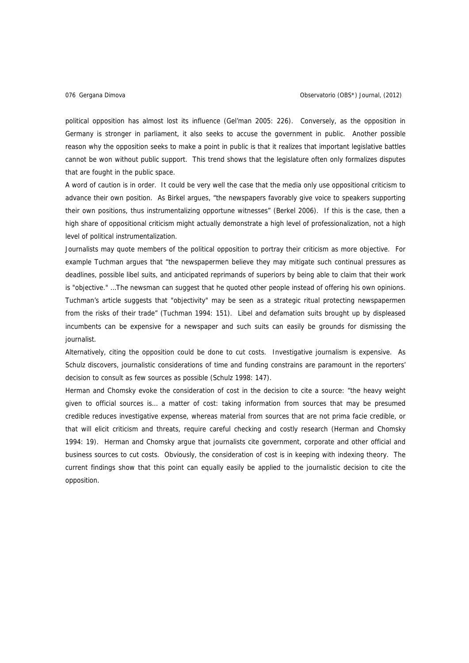political opposition has almost lost its influence (Gel'man 2005: 226). Conversely, as the opposition in Germany is stronger in parliament, it also seeks to accuse the government in public. Another possible reason why the opposition seeks to make a point in public is that it realizes that important legislative battles cannot be won without public support. This trend shows that the legislature often only formalizes disputes that are fought in the public space.

A word of caution is in order. It could be very well the case that the media only use oppositional criticism to advance their own position. As Birkel argues, "the newspapers favorably give voice to speakers supporting their own positions, thus instrumentalizing opportune witnesses" (Berkel 2006). If this is the case, then a high share of oppositional criticism might actually demonstrate a high level of professionalization, not a high level of political instrumentalization.

Journalists may quote members of the political opposition to portray their criticism as more objective. For example Tuchman argues that "the newspapermen believe they may mitigate such continual pressures as deadlines, possible libel suits, and anticipated reprimands of superiors by being able to claim that their work is "objective." …The newsman can suggest that he quoted other people instead of offering his own opinions. Tuchman's article suggests that "objectivity" may be seen as a strategic ritual protecting newspapermen from the risks of their trade" (Tuchman 1994: 151). Libel and defamation suits brought up by displeased incumbents can be expensive for a newspaper and such suits can easily be grounds for dismissing the journalist.

Alternatively, citing the opposition could be done to cut costs. Investigative journalism is expensive. As Schulz discovers, journalistic considerations of time and funding constrains are paramount in the reporters' decision to consult as few sources as possible (Schulz 1998: 147).

Herman and Chomsky evoke the consideration of cost in the decision to cite a source: "the heavy weight given to official sources is… a matter of cost: taking information from sources that may be presumed credible reduces investigative expense, whereas material from sources that are not prima facie credible, or that will elicit criticism and threats, require careful checking and costly research (Herman and Chomsky 1994: 19). Herman and Chomsky argue that journalists cite government, corporate and other official and business sources to cut costs. Obviously, the consideration of cost is in keeping with indexing theory. The current findings show that this point can equally easily be applied to the journalistic decision to cite the opposition.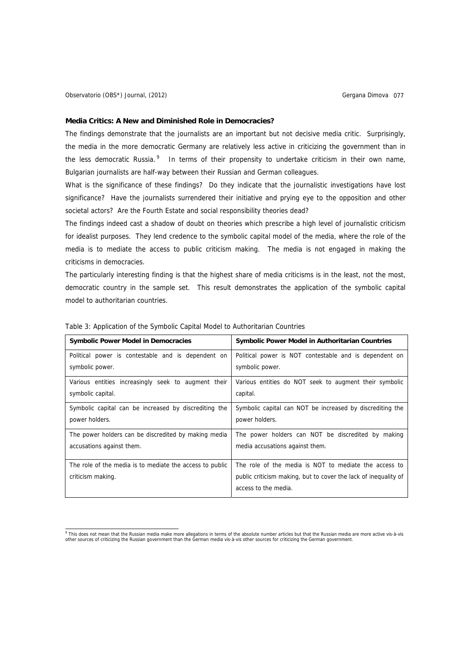### **Media Critics: A New and Diminished Role in Democracies?**

The findings demonstrate that the journalists are an important but not decisive media critic. Surprisingly, the media in the more democratic Germany are relatively less active in criticizing the government than in the less democratic Russia.<sup>[9](#page-14-0)</sup> In terms of their propensity to undertake criticism in their own name, Bulgarian journalists are half-way between their Russian and German colleagues.

What is the significance of these findings? Do they indicate that the journalistic investigations have lost significance? Have the journalists surrendered their initiative and prying eye to the opposition and other societal actors? Are the Fourth Estate and social responsibility theories dead?

The findings indeed cast a shadow of doubt on theories which prescribe a high level of journalistic criticism for idealist purposes. They lend credence to the symbolic capital model of the media, where the role of the media is to mediate the access to public criticism making. The media is not engaged in making the criticisms in democracies.

The particularly interesting finding is that the highest share of media criticisms is in the least, not the most, democratic country in the sample set. This result demonstrates the application of the symbolic capital model to authoritarian countries.

| <b>Symbolic Power Model in Democracies</b>               | <b>Symbolic Power Model in Authoritarian Countries</b>          |  |  |  |
|----------------------------------------------------------|-----------------------------------------------------------------|--|--|--|
| Political power is contestable and is dependent on       | Political power is NOT contestable and is dependent on          |  |  |  |
| symbolic power.                                          | symbolic power.                                                 |  |  |  |
| Various entities increasingly seek to augment their      | Various entities do NOT seek to augment their symbolic          |  |  |  |
| symbolic capital.                                        | capital.                                                        |  |  |  |
| Symbolic capital can be increased by discrediting the    | Symbolic capital can NOT be increased by discrediting the       |  |  |  |
| power holders.                                           | power holders.                                                  |  |  |  |
| The power holders can be discredited by making media     | The power holders can NOT be discredited by making              |  |  |  |
| accusations against them.                                | media accusations against them.                                 |  |  |  |
| The role of the media is to mediate the access to public | The role of the media is NOT to mediate the access to           |  |  |  |
| criticism making.                                        | public criticism making, but to cover the lack of inequality of |  |  |  |
|                                                          | access to the media.                                            |  |  |  |

Table 3: Application of the Symbolic Capital Model to Authoritarian Countries

<span id="page-14-0"></span>end this does not mean that the Russian media make more allegations in terms of the absolute number articles but that the Russian media are more active vis-à-vis<br>other sources of criticizing the Russian government than the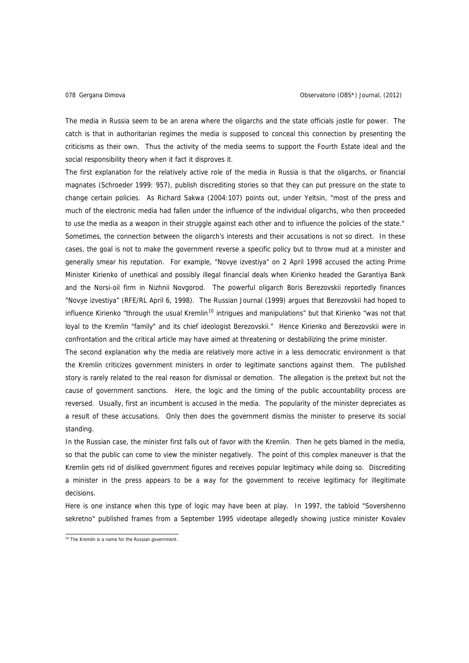The media in Russia seem to be an arena where the oligarchs and the state officials jostle for power. The catch is that in authoritarian regimes the media is supposed to conceal this connection by presenting the criticisms as their own. Thus the activity of the media seems to support the Fourth Estate ideal and the social responsibility theory when it fact it disproves it.

The first explanation for the relatively active role of the media in Russia is that the oligarchs, or financial magnates (Schroeder 1999: 957), publish discrediting stories so that they can put pressure on the state to change certain policies. As Richard Sakwa (2004:107) points out, under Yeltsin, "most of the press and much of the electronic media had fallen under the influence of the individual oligarchs, who then proceeded to use the media as a weapon in their struggle against each other and to influence the policies of the state." Sometimes, the connection between the oligarch's interests and their accusations is not so direct. In these cases, the goal is not to make the government reverse a specific policy but to throw mud at a minister and generally smear his reputation. For example, "Novye izvestiya" on 2 April 1998 accused the acting Prime Minister Kirienko of unethical and possibly illegal financial deals when Kirienko headed the Garantiya Bank and the Norsi-oil firm in Nizhnii Novgorod. The powerful oligarch Boris Berezovskii reportedly finances "Novye izvestiya" (RFE/RL April 6, 1998). The Russian Journal (1999) argues that Berezovskii had hoped to influence Kirienko "through the usual Kremlin<sup>[10](#page-15-0)</sup> intrigues and manipulations" but that Kirienko "was not that loyal to the Kremlin "family" and its chief ideologist Berezovskii." Hence Kirienko and Berezovskii were in confrontation and the critical article may have aimed at threatening or destabilizing the prime minister.

The second explanation why the media are relatively more active in a less democratic environment is that the Kremlin criticizes government ministers in order to legitimate sanctions against them. The published story is rarely related to the real reason for dismissal or demotion. The allegation is the pretext but not the cause of government sanctions. Here, the logic and the timing of the public accountability process are reversed. Usually, first an incumbent is accused in the media. The popularity of the minister depreciates as a result of these accusations. Only then does the government dismiss the minister to preserve its social standing.

In the Russian case, the minister first falls out of favor with the Kremlin. Then he gets blamed in the media, so that the public can come to view the minister negatively. The point of this complex maneuver is that the Kremlin gets rid of disliked government figures and receives popular legitimacy while doing so. Discrediting a minister in the press appears to be a way for the government to receive legitimacy for illegitimate decisions.

Here is one instance when this type of logic may have been at play. In 1997, the tabloid "Sovershenno sekretno" published frames from a September 1995 videotape allegedly showing justice minister Kovalev

<span id="page-15-0"></span><sup>&</sup>lt;sup>10</sup> The Kremlin is a name for the Russian government.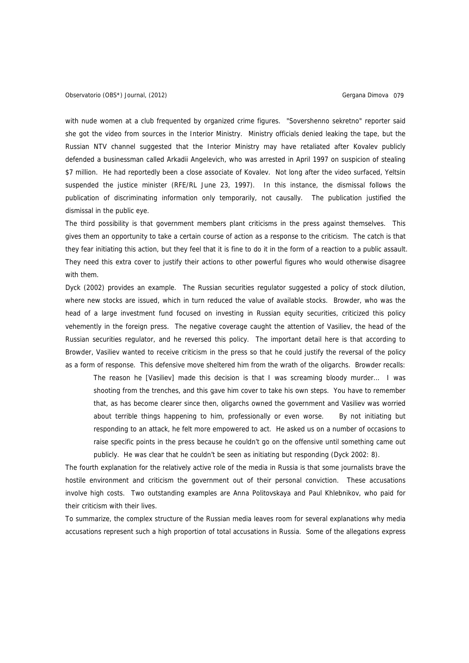with nude women at a club frequented by organized crime figures. "Sovershenno sekretno" reporter said she got the video from sources in the Interior Ministry. Ministry officials denied leaking the tape, but the Russian NTV channel suggested that the Interior Ministry may have retaliated after Kovalev publicly defended a businessman called Arkadii Angelevich, who was arrested in April 1997 on suspicion of stealing \$7 million. He had reportedly been a close associate of Kovalev. Not long after the video surfaced, Yeltsin suspended the justice minister (RFE/RL June 23, 1997). In this instance, the dismissal follows the publication of discriminating information only temporarily, not causally. The publication justified the dismissal in the public eye.

The third possibility is that government members plant criticisms in the press against themselves. This gives them an opportunity to take a certain course of action as a response to the criticism. The catch is that they fear initiating this action, but they feel that it is fine to do it in the form of a reaction to a public assault. They need this extra cover to justify their actions to other powerful figures who would otherwise disagree with them.

Dyck (2002) provides an example. The Russian securities regulator suggested a policy of stock dilution, where new stocks are issued, which in turn reduced the value of available stocks. Browder, who was the head of a large investment fund focused on investing in Russian equity securities, criticized this policy vehemently in the foreign press. The negative coverage caught the attention of Vasiliev, the head of the Russian securities regulator, and he reversed this policy. The important detail here is that according to Browder, Vasiliev wanted to receive criticism in the press so that he could justify the reversal of the policy as a form of response. This defensive move sheltered him from the wrath of the oligarchs. Browder recalls:

The reason he [Vasiliev] made this decision is that I was screaming bloody murder… I was shooting from the trenches, and this gave him cover to take his own steps. You have to remember that, as has become clearer since then, oligarchs owned the government and Vasiliev was worried about terrible things happening to him, professionally or even worse. By not initiating but responding to an attack, he felt more empowered to act. He asked us on a number of occasions to raise specific points in the press because he couldn't go on the offensive until something came out publicly. He was clear that he couldn't be seen as initiating but responding (Dyck 2002: 8).

The fourth explanation for the relatively active role of the media in Russia is that some journalists brave the hostile environment and criticism the government out of their personal conviction. These accusations involve high costs. Two outstanding examples are Anna Politovskaya and Paul Khlebnikov, who paid for their criticism with their lives.

To summarize, the complex structure of the Russian media leaves room for several explanations why media accusations represent such a high proportion of total accusations in Russia. Some of the allegations express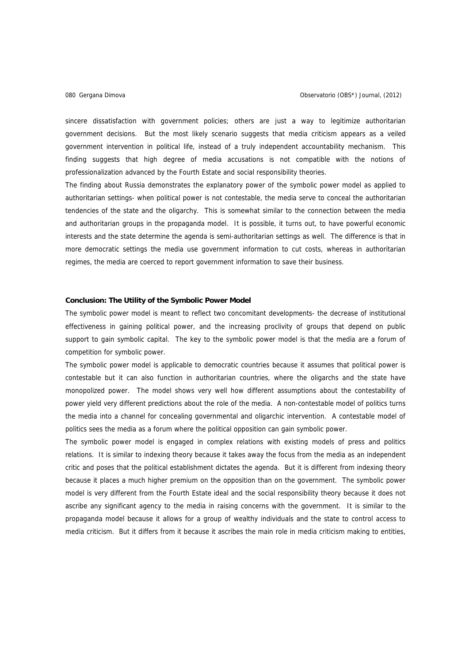sincere dissatisfaction with government policies; others are just a way to legitimize authoritarian government decisions. But the most likely scenario suggests that media criticism appears as a veiled government intervention in political life, instead of a truly independent accountability mechanism. This finding suggests that high degree of media accusations is not compatible with the notions of professionalization advanced by the Fourth Estate and social responsibility theories.

The finding about Russia demonstrates the explanatory power of the symbolic power model as applied to authoritarian settings- when political power is not contestable, the media serve to conceal the authoritarian tendencies of the state and the oligarchy. This is somewhat similar to the connection between the media and authoritarian groups in the propaganda model. It is possible, it turns out, to have powerful economic interests and the state determine the agenda is semi-authoritarian settings as well. The difference is that in more democratic settings the media use government information to cut costs, whereas in authoritarian regimes, the media are coerced to report government information to save their business.

## **Conclusion: The Utility of the Symbolic Power Model**

The symbolic power model is meant to reflect two concomitant developments- the decrease of institutional effectiveness in gaining political power, and the increasing proclivity of groups that depend on public support to gain symbolic capital. The key to the symbolic power model is that the media are a forum of competition for symbolic power.

The symbolic power model is applicable to democratic countries because it assumes that political power is contestable but it can also function in authoritarian countries, where the oligarchs and the state have monopolized power. The model shows very well how different assumptions about the contestability of power yield very different predictions about the role of the media. A non-contestable model of politics turns the media into a channel for concealing governmental and oligarchic intervention. A contestable model of politics sees the media as a forum where the political opposition can gain symbolic power.

The symbolic power model is engaged in complex relations with existing models of press and politics relations. It is similar to indexing theory because it takes away the focus from the media as an independent critic and poses that the political establishment dictates the agenda. But it is different from indexing theory because it places a much higher premium on the opposition than on the government. The symbolic power model is very different from the Fourth Estate ideal and the social responsibility theory because it does not ascribe any significant agency to the media in raising concerns with the government. It is similar to the propaganda model because it allows for a group of wealthy individuals and the state to control access to media criticism. But it differs from it because it ascribes the main role in media criticism making to entities,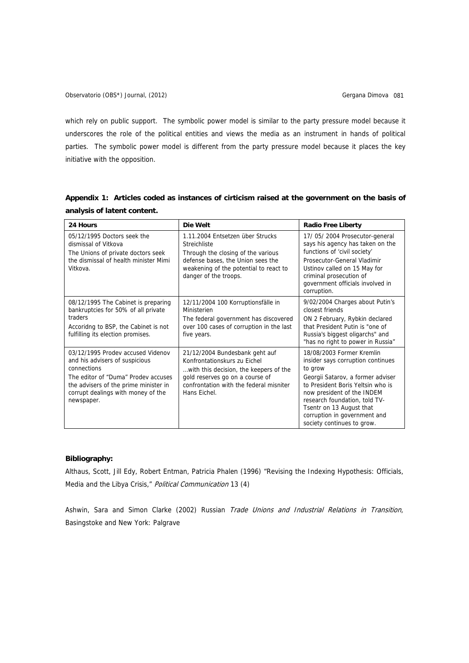which rely on public support. The symbolic power model is similar to the party pressure model because it underscores the role of the political entities and views the media as an instrument in hands of political parties. The symbolic power model is different from the party pressure model because it places the key initiative with the opposition.

| 24 Hours                                                                                                                                                                                                               | Die Welt                                                                                                                                                                                               | <b>Radio Free Liberty</b>                                                                                                                                                                                                                                                                                    |
|------------------------------------------------------------------------------------------------------------------------------------------------------------------------------------------------------------------------|--------------------------------------------------------------------------------------------------------------------------------------------------------------------------------------------------------|--------------------------------------------------------------------------------------------------------------------------------------------------------------------------------------------------------------------------------------------------------------------------------------------------------------|
| 05/12/1995 Doctors seek the<br>dismissal of Vitkova<br>The Unions of private doctors seek<br>the dismissal of health minister Mimi<br>Vitkova.                                                                         | 1.11.2004 Entsetzen über Strucks<br>Streichliste<br>Through the closing of the various<br>defense bases, the Union sees the<br>weakening of the potential to react to<br>danger of the troops.         | 17/05/2004 Prosecutor-general<br>says his agency has taken on the<br>functions of 'civil society'<br>Prosecutor-General Vladimir<br>Ustinov called on 15 May for<br>criminal prosecution of<br>government officials involved in<br>corruption.                                                               |
| 08/12/1995 The Cabinet is preparing<br>bankruptcies for 50% of all private<br>traders<br>Accoridng to BSP, the Cabinet is not<br>fulfilling its election promises.                                                     | 12/11/2004 100 Korruptionsfälle in<br>Ministerien<br>The federal government has discovered<br>over 100 cases of corruption in the last<br>five years.                                                  | 9/02/2004 Charges about Putin's<br>closest friends<br>ON 2 February, Rybkin declared<br>that President Putin is "one of<br>Russia's biggest oligarchs" and<br>"has no right to power in Russia"                                                                                                              |
| 03/12/1995 Prodev accused Videnov<br>and his advisers of suspicious<br>connections<br>The editor of "Duma" Prodev accuses<br>the advisers of the prime minister in<br>corrupt dealings with money of the<br>newspaper. | 21/12/2004 Bundesbank geht auf<br>Konfrontationskurs zu Eichel<br>with this decision, the keepers of the<br>gold reserves go on a course of<br>confrontation with the federal misniter<br>Hans Eichel. | 18/08/2003 Former Kremlin<br>insider says corruption continues<br>to grow<br>Georgii Satarov, a former adviser<br>to President Boris Yeltsin who is<br>now president of the INDEM<br>research foundation, told TV-<br>Tsentr on 13 August that<br>corruption in government and<br>society continues to grow. |

|                             |  |  | Appendix 1: Articles coded as instances of cirticism raised at the government on the basis of |  |
|-----------------------------|--|--|-----------------------------------------------------------------------------------------------|--|
| analysis of latent content. |  |  |                                                                                               |  |

# **Bibliography:**

Althaus, Scott, Jill Edy, Robert Entman, Patricia Phalen (1996) "Revising the Indexing Hypothesis: Officials, Media and the Libya Crisis," Political Communication 13 (4)

Ashwin, Sara and Simon Clarke (2002) Russian Trade Unions and Industrial Relations in Transition, Basingstoke and New York: Palgrave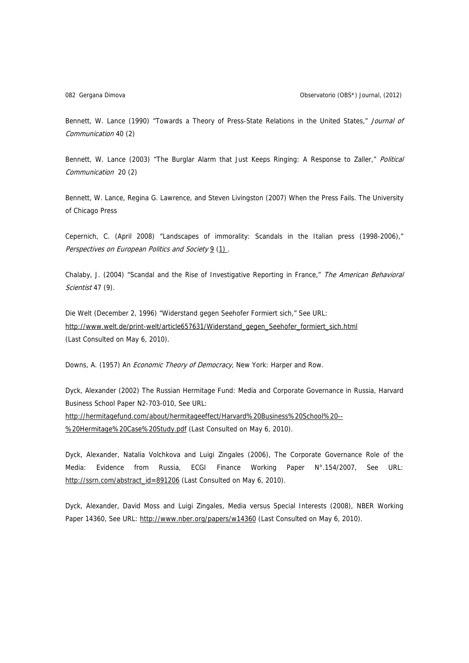Bennett, W. Lance (1990) "Towards a Theory of Press-State Relations in the United States," Journal of Communication 40 (2)

Bennett, W. Lance (2003) "The Burglar Alarm that Just Keeps Ringing: A Response to Zaller," Political Communication 20 (2)

[Bennett,](http://www.press.uchicago.edu/ucp/books/author/B/W/au5186391.html) W. Lance, [Regina G. Lawrence](http://www.press.uchicago.edu/ucp/books/author/L/R/au5186392.html), and [Steven Livingston](http://www.press.uchicago.edu/ucp/books/author/L/S/au5186393.html) (2007) When the Press Fails. The University of Chicago Press

Cepernich, C. (April 2008) "Landscapes of immorality: Scandals in the Italian press (1998-2006)," Perspectives on European Politics and Societ[y](http://www.informaworld.com/smpp/title%7Econtent=t748254466%7Edb=all) 9 [\(1](http://www.informaworld.com/smpp/title~content=t748254466~db=all~tab=issueslist~branches=9#v9)) [.](http://www.informaworld.com/smpp/title%7Econtent=g790040785%7Edb=all) 

Chalaby, J. (2004) "Scandal and the Rise of Investigative Reporting in France," The American Behavioral Scientist 47 (9).

Die Welt (December 2, 1996) "Widerstand gegen Seehofer Formiert sich," See URL: [http://www.welt.de/print-welt/article657631/Widerstand\\_gegen\\_Seehofer\\_formiert\\_sich.html](http://www.welt.de/print-welt/article657631/Widerstand_gegen_Seehofer_formiert_sich.html) (Last Consulted on May 6, 2010).

Downs, A. (1957) An *Economic Theory of Democracy*, New York: Harper and Row.

Dyck, Alexander (2002) The Russian Hermitage Fund: Media and Corporate Governance in Russia, Harvard Business School Paper N2-703-010, See URL: [http://hermitagefund.com/about/hermitageeffect/Harvard%20Business%20School%20--](http://hermitagefund.com/about/hermitageeffect/Harvard%20Business%20School%20--%20Hermitage%20Case%20Study.pdf) [%20Hermitage%20Case%20Study.pdf](http://hermitagefund.com/about/hermitageeffect/Harvard%20Business%20School%20--%20Hermitage%20Case%20Study.pdf) (Last Consulted on May 6, 2010).

Dyck, Alexander, Natalia Volchkova and Luigi Zingales (2006), The Corporate Governance Role of the Media: Evidence from Russia, ECGI Finance Working Paper N°.154/2007, See URL: [http://ssrn.com/abstract\\_id=891206](http://ssrn.com/abstract_id=891206) (Last Consulted on May 6, 2010).

Dyck, Alexander, David Moss and Luigi Zingales, Media versus Special Interests (2008), NBER Working Paper 14360, See URL: <http://www.nber.org/papers/w14360> (Last Consulted on May 6, 2010).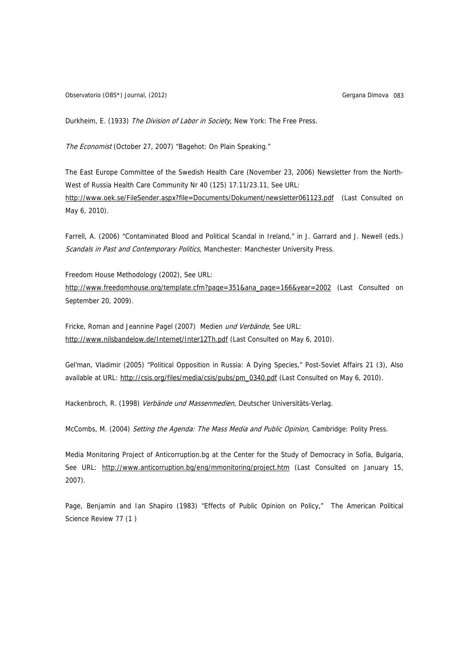Observatorio (OBS\*) Journal, (2012) Christianus Company Construction Company Company Company Company Company Company Company Company Company Company Company Company Company Company Company Company Company Company Company C

Durkheim, E. (1933) The Division of Labor in Society, New York: The Free Press.

The Economist (October 27, 2007) "Bagehot: On Plain Speaking."

The East Europe Committee of the Swedish Health Care (November 23, 2006) Newsletter from the North-West of Russia Health Care Community Nr 40 (125) 17.11/23.11, See URL:

<http://www.oek.se/FileSender.aspx?file=Documents/Dokument/newsletter061123.pdf>(Last Consulted on May 6, 2010).

Farrell, A. (2006) "Contaminated Blood and Political Scandal in Ireland," in J. Garrard and J. Newell (eds.) Scandals in Past and Contemporary Politics, Manchester: Manchester University Press.

Freedom House Methodology (2002), See URL: [http://www.freedomhouse.org/template.cfm?page=351&ana\\_page=166&year=2002](http://www.freedomhouse.org/template.cfm?page=351&ana_page=166&year=2002) (Last Consulted on September 20, 2009).

Fricke, Roman and Jeannine Pagel (2007) Medien und Verbände, See URL: <http://www.nilsbandelow.de/Internet/Inter12Th.pdf>(Last Consulted on May 6, 2010).

Gel'man, Vladimir (2005) "Political Opposition in Russia: A Dying Species," Post-Soviet Affairs 21 (3), Also available at URL: [http://csis.org/files/media/csis/pubs/pm\\_0340.pdf](http://csis.org/files/media/csis/pubs/pm_0340.pdf) (Last Consulted on May 6, 2010).

Hackenbroch, R. (1998) Verbände und Massenmedien, Deutscher Universitäts-Verlag.

McCombs, M. (2004) Setting the Agenda: The Mass Media and Public Opinion, Cambridge: Polity Press.

Media Monitoring Project of Anticorruption.bg at the Center for the Study of Democracy in Sofia, Bulgaria, See URL: <http://www.anticorruption.bg/eng/mmonitoring/project.htm>(Last Consulted on January 15, 2007).

Page, Benjamin and Ian Shapiro (1983) "Effects of Public Opinion on Policy," The American Political Science Review 77 (1 )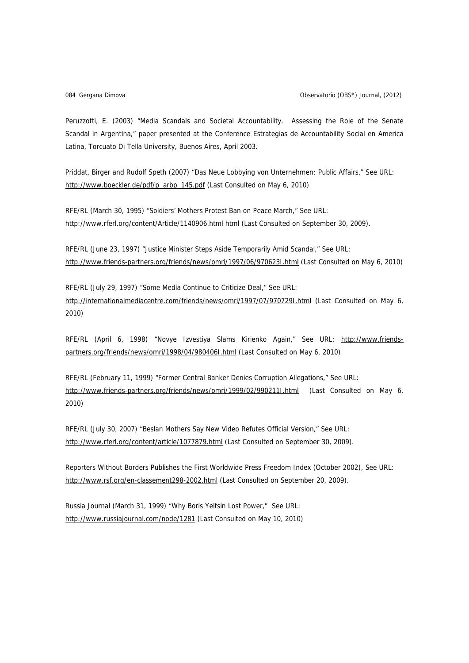Peruzzotti, E. (2003) "Media Scandals and Societal Accountability. Assessing the Role of the Senate Scandal in Argentina," paper presented at the Conference Estrategias de Accountability Social en America Latina, Torcuato Di Tella University, Buenos Aires, April 2003.

Priddat, Birger and Rudolf Speth (2007) "Das Neue Lobbying von Unternehmen: Public Affairs," See URL: [http://www.boeckler.de/pdf/p\\_arbp\\_145.pdf](http://www.boeckler.de/pdf/p_arbp_145.pdf) (Last Consulted on May 6, 2010)

RFE/RL (March 30, 1995) "Soldiers' Mothers Protest Ban on Peace March," See URL: <http://www.rferl.org/content/Article/1140906.html> html (Last Consulted on September 30, 2009).

RFE/RL (June 23, 1997) "Justice Minister Steps Aside Temporarily Amid Scandal," See URL: <http://www.friends-partners.org/friends/news/omri/1997/06/970623I.html> (Last Consulted on May 6, 2010)

RFE/RL (July 29, 1997) "Some Media Continue to Criticize Deal," See URL: <http://internationalmediacentre.com/friends/news/omri/1997/07/970729I.html> (Last Consulted on May 6, 2010)

RFE/RL (April 6, 1998) "Novye Izvestiya Slams Kirienko Again," See URL: [http://www.friends](http://www.friends-partners.org/friends/news/omri/1998/04/980406I.html)[partners.org/friends/news/omri/1998/04/980406I.html](http://www.friends-partners.org/friends/news/omri/1998/04/980406I.html) (Last Consulted on May 6, 2010)

RFE/RL (February 11, 1999) "Former Central Banker Denies Corruption Allegations," See URL: http://www.friends-partners.org/friends/news/omri/1999/02/9902111.html (Last Consulted on May 6, 2010)

RFE/RL (July 30, 2007) "Beslan Mothers Say New Video Refutes Official Version," See URL: <http://www.rferl.org/content/article/1077879.html>(Last Consulted on September 30, 2009).

Reporters Without Borders Publishes the First Worldwide Press Freedom Index (October 2002), See URL: <http://www.rsf.org/en-classement298-2002.html> (Last Consulted on September 20, 2009).

Russia Journal (March 31, 1999) "Why Boris Yeltsin Lost Power," See URL: <http://www.russiajournal.com/node/1281>(Last Consulted on May 10, 2010)